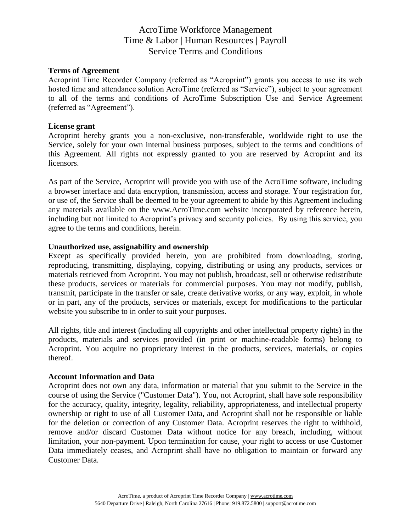### **Terms of Agreement**

Acroprint Time Recorder Company (referred as "Acroprint") grants you access to use its web hosted time and attendance solution AcroTime (referred as "Service"), subject to your agreement to all of the terms and conditions of AcroTime Subscription Use and Service Agreement (referred as "Agreement").

#### **License grant**

Acroprint hereby grants you a non-exclusive, non-transferable, worldwide right to use the Service, solely for your own internal business purposes, subject to the terms and conditions of this Agreement. All rights not expressly granted to you are reserved by Acroprint and its licensors.

As part of the Service, Acroprint will provide you with use of the AcroTime software, including a browser interface and data encryption, transmission, access and storage. Your registration for, or use of, the Service shall be deemed to be your agreement to abide by this Agreement including any materials available on the www.AcroTime.com website incorporated by reference herein, including but not limited to Acroprint's privacy and security policies. By using this service, you agree to the terms and conditions, herein.

#### **Unauthorized use, assignability and ownership**

Except as specifically provided herein, you are prohibited from downloading, storing, reproducing, transmitting, displaying, copying, distributing or using any products, services or materials retrieved from Acroprint. You may not publish, broadcast, sell or otherwise redistribute these products, services or materials for commercial purposes. You may not modify, publish, transmit, participate in the transfer or sale, create derivative works, or any way, exploit, in whole or in part, any of the products, services or materials, except for modifications to the particular website you subscribe to in order to suit your purposes.

All rights, title and interest (including all copyrights and other intellectual property rights) in the products, materials and services provided (in print or machine-readable forms) belong to Acroprint. You acquire no proprietary interest in the products, services, materials, or copies thereof.

#### **Account Information and Data**

Acroprint does not own any data, information or material that you submit to the Service in the course of using the Service ("Customer Data"). You, not Acroprint, shall have sole responsibility for the accuracy, quality, integrity, legality, reliability, appropriateness, and intellectual property ownership or right to use of all Customer Data, and Acroprint shall not be responsible or liable for the deletion or correction of any Customer Data. Acroprint reserves the right to withhold, remove and/or discard Customer Data without notice for any breach, including, without limitation, your non-payment. Upon termination for cause, your right to access or use Customer Data immediately ceases, and Acroprint shall have no obligation to maintain or forward any Customer Data.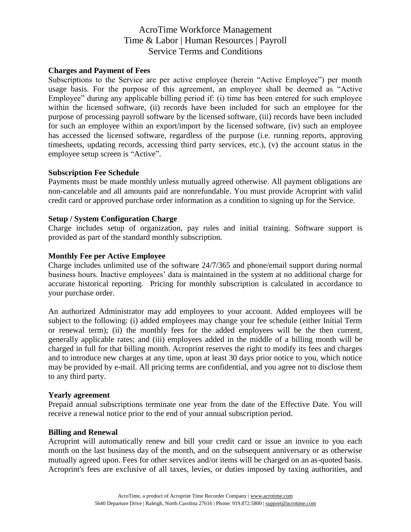### **Charges and Payment of Fees**

Subscriptions to the Service are per active employee (herein "Active Employee") per month usage basis. For the purpose of this agreement, an employee shall be deemed as "Active Employee" during any applicable billing period if: (i) time has been entered for such employee within the licensed software, (ii) records have been included for such an employee for the purpose of processing payroll software by the licensed software, (iii) records have been included for such an employee within an export/import by the licensed software, (iv) such an employee has accessed the licensed software, regardless of the purpose (i.e. running reports, approving timesheets, updating records, accessing third party services, etc.), (v) the account status in the employee setup screen is "Active".

#### **Subscription Fee Schedule**

Payments must be made monthly unless mutually agreed otherwise. All payment obligations are non-cancelable and all amounts paid are nonrefundable. You must provide Acroprint with valid credit card or approved purchase order information as a condition to signing up for the Service.

## **Setup / System Configuration Charge**

Charge includes setup of organization, pay rules and initial training. Software support is provided as part of the standard monthly subscription.

#### **Monthly Fee per Active Employee**

Charge includes unlimited use of the software 24/7/365 and phone/email support during normal business hours. Inactive employees' data is maintained in the system at no additional charge for accurate historical reporting. Pricing for monthly subscription is calculated in accordance to your purchase order.

An authorized Administrator may add employees to your account. Added employees will be subject to the following: (i) added employees may change your fee schedule (either Initial Term or renewal term); (ii) the monthly fees for the added employees will be the then current, generally applicable rates; and (iii) employees added in the middle of a billing month will be charged in full for that billing month. Acroprint reserves the right to modify its fees and charges and to introduce new charges at any time, upon at least 30 days prior notice to you, which notice may be provided by e-mail. All pricing terms are confidential, and you agree not to disclose them to any third party.

#### **Yearly agreement**

Prepaid annual subscriptions terminate one year from the date of the Effective Date. You will receive a renewal notice prior to the end of your annual subscription period.

### **Billing and Renewal**

Acroprint will automatically renew and bill your credit card or issue an invoice to you each month on the last business day of the month, and on the subsequent anniversary or as otherwise mutually agreed upon. Fees for other services and/or items will be charged on an as-quoted basis. Acroprint's fees are exclusive of all taxes, levies, or duties imposed by taxing authorities, and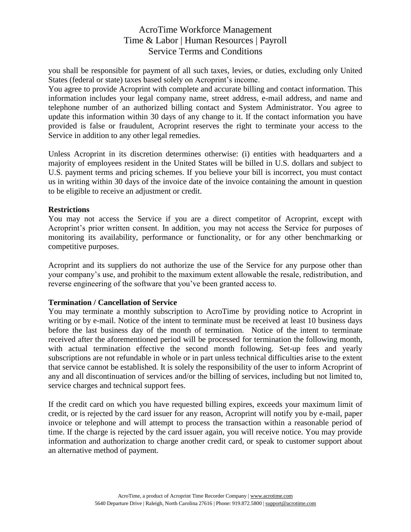you shall be responsible for payment of all such taxes, levies, or duties, excluding only United States (federal or state) taxes based solely on Acroprint's income.

You agree to provide Acroprint with complete and accurate billing and contact information. This information includes your legal company name, street address, e-mail address, and name and telephone number of an authorized billing contact and System Administrator. You agree to update this information within 30 days of any change to it. If the contact information you have provided is false or fraudulent, Acroprint reserves the right to terminate your access to the Service in addition to any other legal remedies.

Unless Acroprint in its discretion determines otherwise: (i) entities with headquarters and a majority of employees resident in the United States will be billed in U.S. dollars and subject to U.S. payment terms and pricing schemes. If you believe your bill is incorrect, you must contact us in writing within 30 days of the invoice date of the invoice containing the amount in question to be eligible to receive an adjustment or credit.

### **Restrictions**

You may not access the Service if you are a direct competitor of Acroprint, except with Acroprint's prior written consent. In addition, you may not access the Service for purposes of monitoring its availability, performance or functionality, or for any other benchmarking or competitive purposes.

Acroprint and its suppliers do not authorize the use of the Service for any purpose other than your company's use, and prohibit to the maximum extent allowable the resale, redistribution, and reverse engineering of the software that you've been granted access to.

## **Termination / Cancellation of Service**

You may terminate a monthly subscription to AcroTime by providing notice to Acroprint in writing or by e-mail. Notice of the intent to terminate must be received at least 10 business days before the last business day of the month of termination. Notice of the intent to terminate received after the aforementioned period will be processed for termination the following month, with actual termination effective the second month following. Set-up fees and yearly subscriptions are not refundable in whole or in part unless technical difficulties arise to the extent that service cannot be established. It is solely the responsibility of the user to inform Acroprint of any and all discontinuation of services and/or the billing of services, including but not limited to, service charges and technical support fees.

If the credit card on which you have requested billing expires, exceeds your maximum limit of credit, or is rejected by the card issuer for any reason, Acroprint will notify you by e-mail, paper invoice or telephone and will attempt to process the transaction within a reasonable period of time. If the charge is rejected by the card issuer again, you will receive notice. You may provide information and authorization to charge another credit card, or speak to customer support about an alternative method of payment.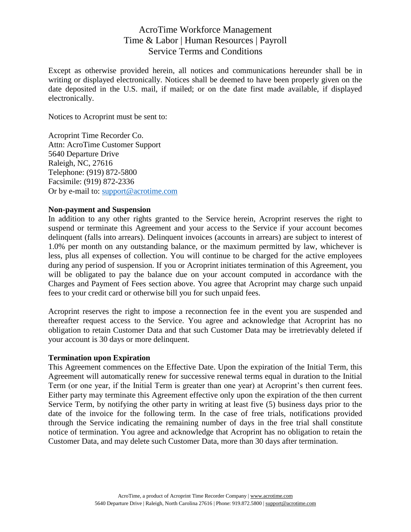Except as otherwise provided herein, all notices and communications hereunder shall be in writing or displayed electronically. Notices shall be deemed to have been properly given on the date deposited in the U.S. mail, if mailed; or on the date first made available, if displayed electronically.

Notices to Acroprint must be sent to:

Acroprint Time Recorder Co. Attn: AcroTime Customer Support 5640 Departure Drive Raleigh, NC, 27616 Telephone: (919) 872-5800 Facsimile: (919) 872-2336 Or by e-mail to: [support@acrotime.com](mailto:support@acrotime.com)

#### **Non-payment and Suspension**

In addition to any other rights granted to the Service herein, Acroprint reserves the right to suspend or terminate this Agreement and your access to the Service if your account becomes delinquent (falls into arrears). Delinquent invoices (accounts in arrears) are subject to interest of 1.0% per month on any outstanding balance, or the maximum permitted by law, whichever is less, plus all expenses of collection. You will continue to be charged for the active employees during any period of suspension. If you or Acroprint initiates termination of this Agreement, you will be obligated to pay the balance due on your account computed in accordance with the Charges and Payment of Fees section above. You agree that Acroprint may charge such unpaid fees to your credit card or otherwise bill you for such unpaid fees.

Acroprint reserves the right to impose a reconnection fee in the event you are suspended and thereafter request access to the Service. You agree and acknowledge that Acroprint has no obligation to retain Customer Data and that such Customer Data may be irretrievably deleted if your account is 30 days or more delinquent.

#### **Termination upon Expiration**

This Agreement commences on the Effective Date. Upon the expiration of the Initial Term, this Agreement will automatically renew for successive renewal terms equal in duration to the Initial Term (or one year, if the Initial Term is greater than one year) at Acroprint's then current fees. Either party may terminate this Agreement effective only upon the expiration of the then current Service Term, by notifying the other party in writing at least five (5) business days prior to the date of the invoice for the following term. In the case of free trials, notifications provided through the Service indicating the remaining number of days in the free trial shall constitute notice of termination. You agree and acknowledge that Acroprint has no obligation to retain the Customer Data, and may delete such Customer Data, more than 30 days after termination.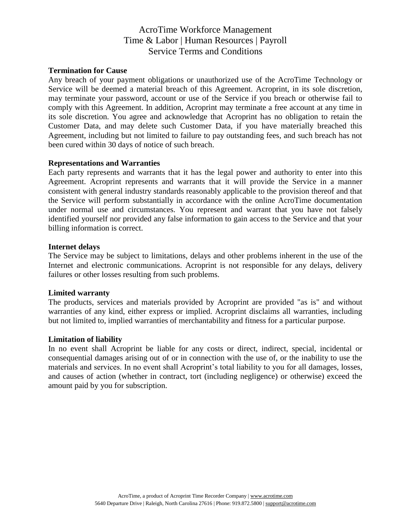### **Termination for Cause**

Any breach of your payment obligations or unauthorized use of the AcroTime Technology or Service will be deemed a material breach of this Agreement. Acroprint, in its sole discretion, may terminate your password, account or use of the Service if you breach or otherwise fail to comply with this Agreement. In addition, Acroprint may terminate a free account at any time in its sole discretion. You agree and acknowledge that Acroprint has no obligation to retain the Customer Data, and may delete such Customer Data, if you have materially breached this Agreement, including but not limited to failure to pay outstanding fees, and such breach has not been cured within 30 days of notice of such breach.

#### **Representations and Warranties**

Each party represents and warrants that it has the legal power and authority to enter into this Agreement. Acroprint represents and warrants that it will provide the Service in a manner consistent with general industry standards reasonably applicable to the provision thereof and that the Service will perform substantially in accordance with the online AcroTime documentation under normal use and circumstances. You represent and warrant that you have not falsely identified yourself nor provided any false information to gain access to the Service and that your billing information is correct.

#### **Internet delays**

The Service may be subject to limitations, delays and other problems inherent in the use of the Internet and electronic communications. Acroprint is not responsible for any delays, delivery failures or other losses resulting from such problems.

#### **Limited warranty**

The products, services and materials provided by Acroprint are provided "as is" and without warranties of any kind, either express or implied. Acroprint disclaims all warranties, including but not limited to, implied warranties of merchantability and fitness for a particular purpose.

#### **Limitation of liability**

In no event shall Acroprint be liable for any costs or direct, indirect, special, incidental or consequential damages arising out of or in connection with the use of, or the inability to use the materials and services. In no event shall Acroprint's total liability to you for all damages, losses, and causes of action (whether in contract, tort (including negligence) or otherwise) exceed the amount paid by you for subscription.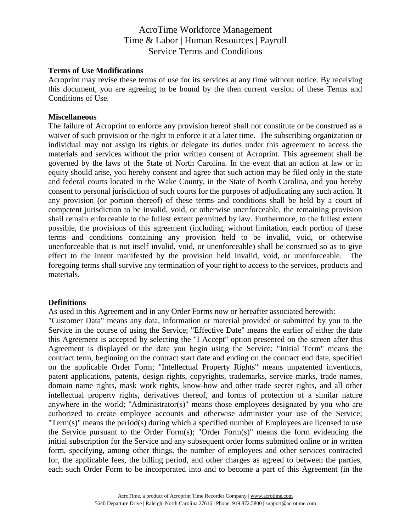### **Terms of Use Modifications**

Acroprint may revise these terms of use for its services at any time without notice. By receiving this document, you are agreeing to be bound by the then current version of these Terms and Conditions of Use.

#### **Miscellaneous**

The failure of Acroprint to enforce any provision hereof shall not constitute or be construed as a waiver of such provision or the right to enforce it at a later time. The subscribing organization or individual may not assign its rights or delegate its duties under this agreement to access the materials and services without the prior written consent of Acroprint. This agreement shall be governed by the laws of the State of North Carolina. In the event that an action at law or in equity should arise, you hereby consent and agree that such action may be filed only in the state and federal courts located in the Wake County, in the State of North Carolina, and you hereby consent to personal jurisdiction of such courts for the purposes of adjudicating any such action. If any provision (or portion thereof) of these terms and conditions shall be held by a court of competent jurisdiction to be invalid, void, or otherwise unenforceable, the remaining provision shall remain enforceable to the fullest extent permitted by law. Furthermore, to the fullest extent possible, the provisions of this agreement (including, without limitation, each portion of these terms and conditions containing any provision held to be invalid, void, or otherwise unenforceable that is not itself invalid, void, or unenforceable) shall be construed so as to give effect to the intent manifested by the provision held invalid, void, or unenforceable. The foregoing terms shall survive any termination of your right to access to the services, products and materials.

### **Definitions**

As used in this Agreement and in any Order Forms now or hereafter associated herewith:

"Customer Data" means any data, information or material provided or submitted by you to the Service in the course of using the Service; "Effective Date" means the earlier of either the date this Agreement is accepted by selecting the "I Accept" option presented on the screen after this Agreement is displayed or the date you begin using the Service; "Initial Term" means the contract term, beginning on the contract start date and ending on the contract end date, specified on the applicable Order Form; "Intellectual Property Rights" means unpatented inventions, patent applications, patents, design rights, copyrights, trademarks, service marks, trade names, domain name rights, mask work rights, know-how and other trade secret rights, and all other intellectual property rights, derivatives thereof, and forms of protection of a similar nature anywhere in the world; "Administrator(s)" means those employees designated by you who are authorized to create employee accounts and otherwise administer your use of the Service; "Term(s)" means the period(s) during which a specified number of Employees are licensed to use the Service pursuant to the Order Form(s); "Order Form(s)" means the form evidencing the initial subscription for the Service and any subsequent order forms submitted online or in written form, specifying, among other things, the number of employees and other services contracted for, the applicable fees, the billing period, and other charges as agreed to between the parties, each such Order Form to be incorporated into and to become a part of this Agreement (in the